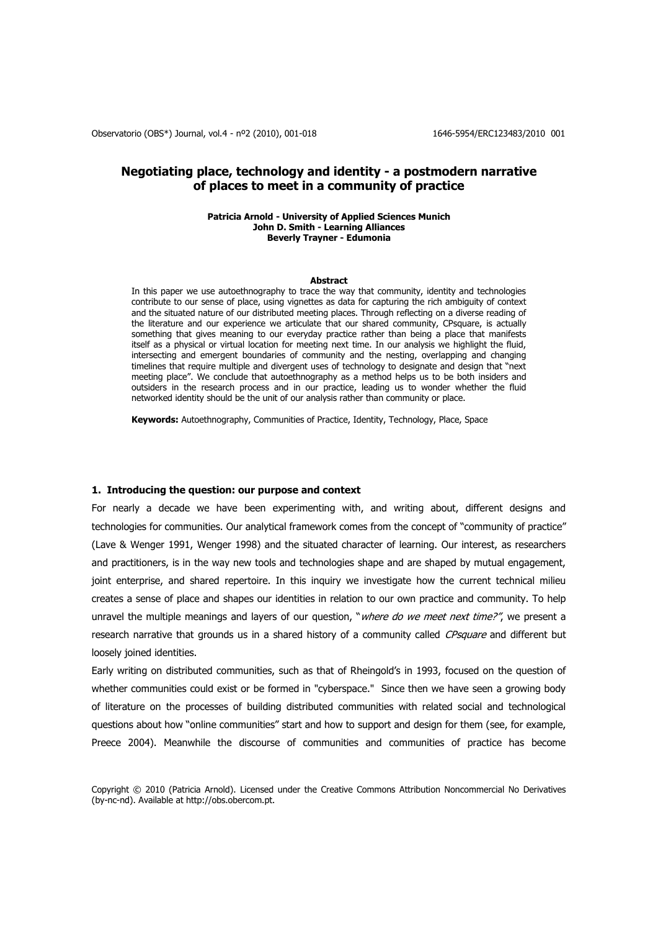# **Negotiating place, technology and identity - a postmodern narrative of places to meet in a community of practice**

#### **Patricia Arnold - University of Applied Sciences Munich John D. Smith - Learning Alliances Beverly Trayner - Edumonia**

#### **Abstract**

In this paper we use autoethnography to trace the way that community, identity and technologies contribute to our sense of place, using vignettes as data for capturing the rich ambiguity of context and the situated nature of our distributed meeting places. Through reflecting on a diverse reading of the literature and our experience we articulate that our shared community, CPsquare, is actually something that gives meaning to our everyday practice rather than being a place that manifests itself as a physical or virtual location for meeting next time. In our analysis we highlight the fluid, intersecting and emergent boundaries of community and the nesting, overlapping and changing timelines that require multiple and divergent uses of technology to designate and design that "next meeting place". We conclude that autoethnography as a method helps us to be both insiders and outsiders in the research process and in our practice, leading us to wonder whether the fluid networked identity should be the unit of our analysis rather than community or place.

**Keywords:** Autoethnography, Communities of Practice, Identity, Technology, Place, Space

### **1. Introducing the question: our purpose and context**

For nearly a decade we have been experimenting with, and writing about, different designs and technologies for communities. Our analytical framework comes from the concept of "community of practice" (Lave & Wenger 1991, Wenger 1998) and the situated character of learning. Our interest, as researchers and practitioners, is in the way new tools and technologies shape and are shaped by mutual engagement, joint enterprise, and shared repertoire. In this inquiry we investigate how the current technical milieu creates a sense of place and shapes our identities in relation to our own practice and community. To help unravel the multiple meanings and layers of our question, "*where do we meet next time?"*, we present a research narrative that grounds us in a shared history of a community called CPsquare and different but loosely joined identities.

Early writing on distributed communities, such as that of Rheingold"s in 1993, focused on the question of whether communities could exist or be formed in "cyberspace." Since then we have seen a growing body of literature on the processes of building distributed communities with related social and technological questions about how "online communities" start and how to support and design for them (see, for example, Preece 2004). Meanwhile the discourse of communities and communities of practice has become

Copyright © 2010 (Patricia Arnold). Licensed under the Creative Commons Attribution Noncommercial No Derivatives (by-nc-nd). Available at http://obs.obercom.pt.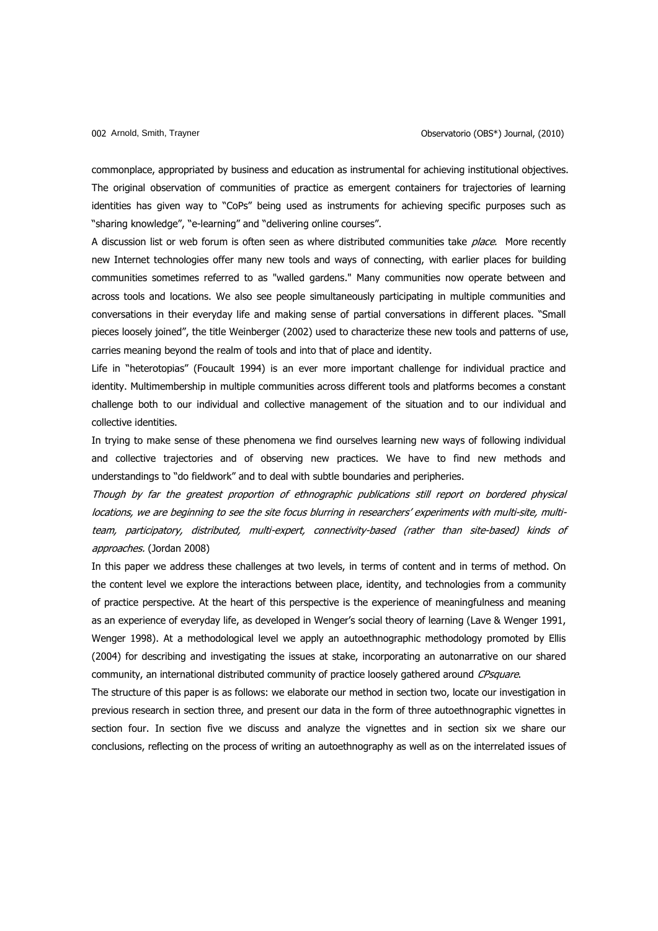commonplace, appropriated by business and education as instrumental for achieving institutional objectives. The original observation of communities of practice as emergent containers for trajectories of learning identities has given way to "CoPs" being used as instruments for achieving specific purposes such as "sharing knowledge", "e-learning" and "delivering online courses".

A discussion list or web forum is often seen as where distributed communities take *place*. More recently new Internet technologies offer many new tools and ways of connecting, with earlier places for building communities sometimes referred to as "walled gardens." Many communities now operate between and across tools and locations. We also see people simultaneously participating in multiple communities and conversations in their everyday life and making sense of partial conversations in different places. "Small pieces loosely joined", the title Weinberger (2002) used to characterize these new tools and patterns of use, carries meaning beyond the realm of tools and into that of place and identity.

Life in "heterotopias" (Foucault 1994) is an ever more important challenge for individual practice and identity. Multimembership in multiple communities across different tools and platforms becomes a constant challenge both to our individual and collective management of the situation and to our individual and collective identities.

In trying to make sense of these phenomena we find ourselves learning new ways of following individual and collective trajectories and of observing new practices. We have to find new methods and understandings to "do fieldwork" and to deal with subtle boundaries and peripheries.

Though by far the greatest proportion of ethnographic publications still report on bordered physical locations, we are beginning to see the site focus blurring in researchers' experiments with multi-site, multiteam, participatory, distributed, multi-expert, connectivity-based (rather than site-based) kinds of approaches. (Jordan 2008)

In this paper we address these challenges at two levels, in terms of content and in terms of method. On the content level we explore the interactions between place, identity, and technologies from a community of practice perspective. At the heart of this perspective is the experience of meaningfulness and meaning as an experience of everyday life, as developed in Wenger"s social theory of learning (Lave & Wenger 1991, Wenger 1998). At a methodological level we apply an autoethnographic methodology promoted by Ellis (2004) for describing and investigating the issues at stake, incorporating an autonarrative on our shared community, an international distributed community of practice loosely gathered around CPsquare.

The structure of this paper is as follows: we elaborate our method in section two, locate our investigation in previous research in section three, and present our data in the form of three autoethnographic vignettes in section four. In section five we discuss and analyze the vignettes and in section six we share our conclusions, reflecting on the process of writing an autoethnography as well as on the interrelated issues of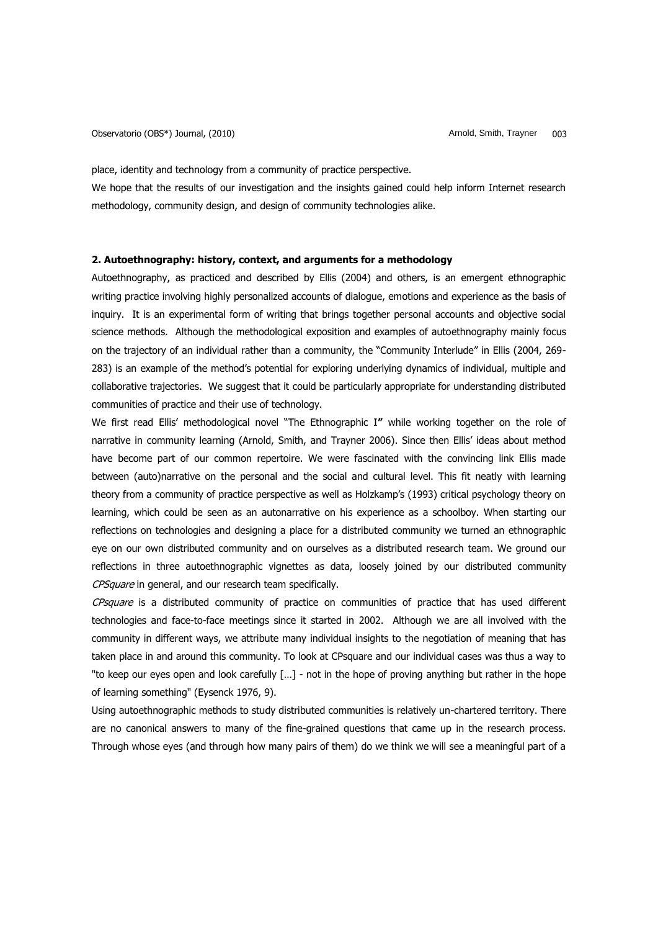place, identity and technology from a community of practice perspective.

We hope that the results of our investigation and the insights gained could help inform Internet research methodology, community design, and design of community technologies alike.

# **2. Autoethnography: history, context, and arguments for a methodology**

Autoethnography, as practiced and described by Ellis (2004) and others, is an emergent ethnographic writing practice involving highly personalized accounts of dialogue, emotions and experience as the basis of inquiry. It is an experimental form of writing that brings together personal accounts and objective social science methods. Although the methodological exposition and examples of autoethnography mainly focus on the trajectory of an individual rather than a community, the "Community Interlude" in Ellis (2004, 269- 283) is an example of the method"s potential for exploring underlying dynamics of individual, multiple and collaborative trajectories. We suggest that it could be particularly appropriate for understanding distributed communities of practice and their use of technology.

We first read Ellis" methodological novel "The Ethnographic I**"** while working together on the role of narrative in community learning (Arnold, Smith, and Trayner 2006). Since then Ellis" ideas about method have become part of our common repertoire. We were fascinated with the convincing link Ellis made between (auto)narrative on the personal and the social and cultural level. This fit neatly with learning theory from a community of practice perspective as well as Holzkamp"s (1993) critical psychology theory on learning, which could be seen as an autonarrative on his experience as a schoolboy. When starting our reflections on technologies and designing a place for a distributed community we turned an ethnographic eye on our own distributed community and on ourselves as a distributed research team. We ground our reflections in three autoethnographic vignettes as data, loosely joined by our distributed community CPSquare in general, and our research team specifically.

CPsquare is a distributed community of practice on communities of practice that has used different technologies and face-to-face meetings since it started in 2002. Although we are all involved with the community in different ways, we attribute many individual insights to the negotiation of meaning that has taken place in and around this community. To look at CPsquare and our individual cases was thus a way to "to keep our eyes open and look carefully […] - not in the hope of proving anything but rather in the hope of learning something" (Eysenck 1976, 9).

Using autoethnographic methods to study distributed communities is relatively un-chartered territory. There are no canonical answers to many of the fine-grained questions that came up in the research process. Through whose eyes (and through how many pairs of them) do we think we will see a meaningful part of a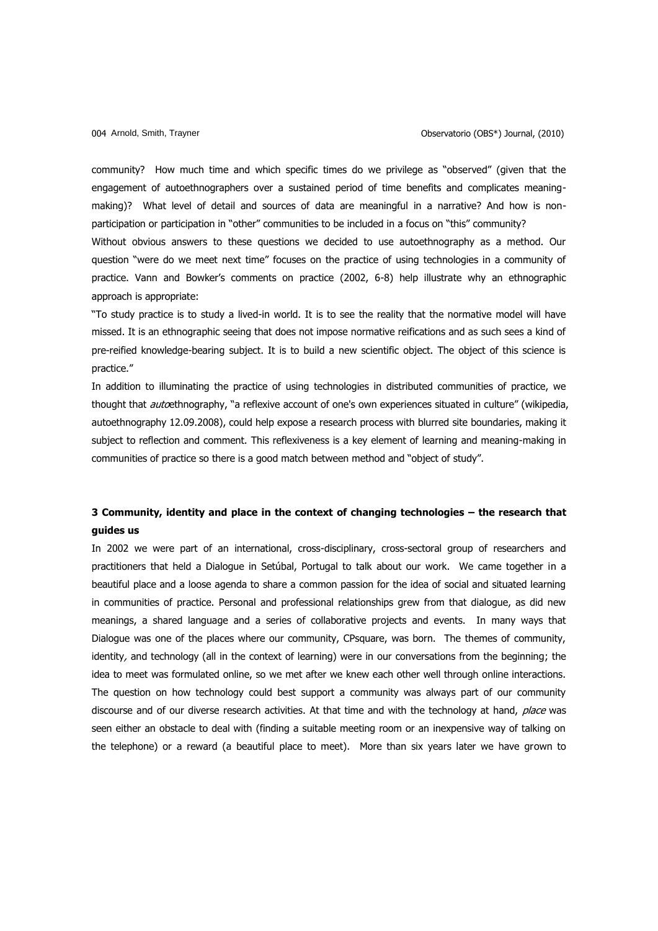community? How much time and which specific times do we privilege as "observed" (given that the engagement of autoethnographers over a sustained period of time benefits and complicates meaningmaking)? What level of detail and sources of data are meaningful in a narrative? And how is nonparticipation or participation in "other" communities to be included in a focus on "this" community? Without obvious answers to these questions we decided to use autoethnography as a method. Our question "were do we meet next time" focuses on the practice of using technologies in a community of practice. Vann and Bowker"s comments on practice (2002, 6-8) help illustrate why an ethnographic approach is appropriate:

"To study practice is to study a lived-in world. It is to see the reality that the normative model will have missed. It is an ethnographic seeing that does not impose normative reifications and as such sees a kind of pre-reified knowledge-bearing subject. It is to build a new scientific object. The object of this science is practice."

In addition to illuminating the practice of using technologies in distributed communities of practice, we thought that *auto*ethnography, "a reflexive account of one's own experiences situated in culture" (wikipedia, autoethnography 12.09.2008), could help expose a research process with blurred site boundaries, making it subject to reflection and comment. This reflexiveness is a key element of learning and meaning-making in communities of practice so there is a good match between method and "object of study".

# **3 Community, identity and place in the context of changing technologies – the research that guides us**

In 2002 we were part of an international, cross-disciplinary, cross-sectoral group of researchers and practitioners that held a Dialogue in Setúbal, Portugal to talk about our work. We came together in a beautiful place and a loose agenda to share a common passion for the idea of social and situated learning in communities of practice. Personal and professional relationships grew from that dialogue, as did new meanings, a shared language and a series of collaborative projects and events. In many ways that Dialogue was one of the places where our community, CPsquare, was born. The themes of community, identity, and technology (all in the context of learning) were in our conversations from the beginning; the idea to meet was formulated online, so we met after we knew each other well through online interactions. The question on how technology could best support a community was always part of our community discourse and of our diverse research activities. At that time and with the technology at hand, place was seen either an obstacle to deal with (finding a suitable meeting room or an inexpensive way of talking on the telephone) or a reward (a beautiful place to meet). More than six years later we have grown to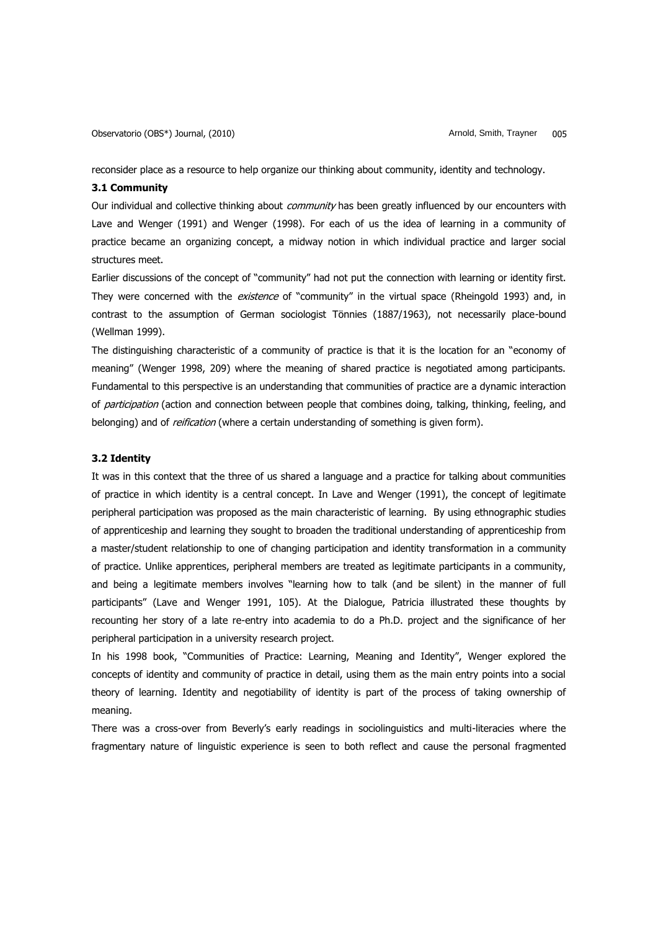reconsider place as a resource to help organize our thinking about community, identity and technology.

# **3.1 Community**

Our individual and collective thinking about *community* has been greatly influenced by our encounters with Lave and Wenger (1991) and Wenger (1998). For each of us the idea of learning in a community of practice became an organizing concept, a midway notion in which individual practice and larger social structures meet.

Earlier discussions of the concept of "community" had not put the connection with learning or identity first. They were concerned with the existence of "community" in the virtual space (Rheingold 1993) and, in contrast to the assumption of German sociologist Tönnies (1887/1963), not necessarily place-bound (Wellman 1999).

The distinguishing characteristic of a community of practice is that it is the location for an "economy of meaning" (Wenger 1998, 209) where the meaning of shared practice is negotiated among participants. Fundamental to this perspective is an understanding that communities of practice are a dynamic interaction of participation (action and connection between people that combines doing, talking, thinking, feeling, and belonging) and of *reification* (where a certain understanding of something is given form).

### **3.2 Identity**

It was in this context that the three of us shared a language and a practice for talking about communities of practice in which identity is a central concept. In Lave and Wenger (1991), the concept of legitimate peripheral participation was proposed as the main characteristic of learning. By using ethnographic studies of apprenticeship and learning they sought to broaden the traditional understanding of apprenticeship from a master/student relationship to one of changing participation and identity transformation in a community of practice. Unlike apprentices, peripheral members are treated as legitimate participants in a community, and being a legitimate members involves "learning how to talk (and be silent) in the manner of full participants" (Lave and Wenger 1991, 105). At the Dialogue, Patricia illustrated these thoughts by recounting her story of a late re-entry into academia to do a Ph.D. project and the significance of her peripheral participation in a university research project.

In his 1998 book, "Communities of Practice: Learning, Meaning and Identity", Wenger explored the concepts of identity and community of practice in detail, using them as the main entry points into a social theory of learning. Identity and negotiability of identity is part of the process of taking ownership of meaning.

There was a cross-over from Beverly"s early readings in sociolinguistics and multi-literacies where the fragmentary nature of linguistic experience is seen to both reflect and cause the personal fragmented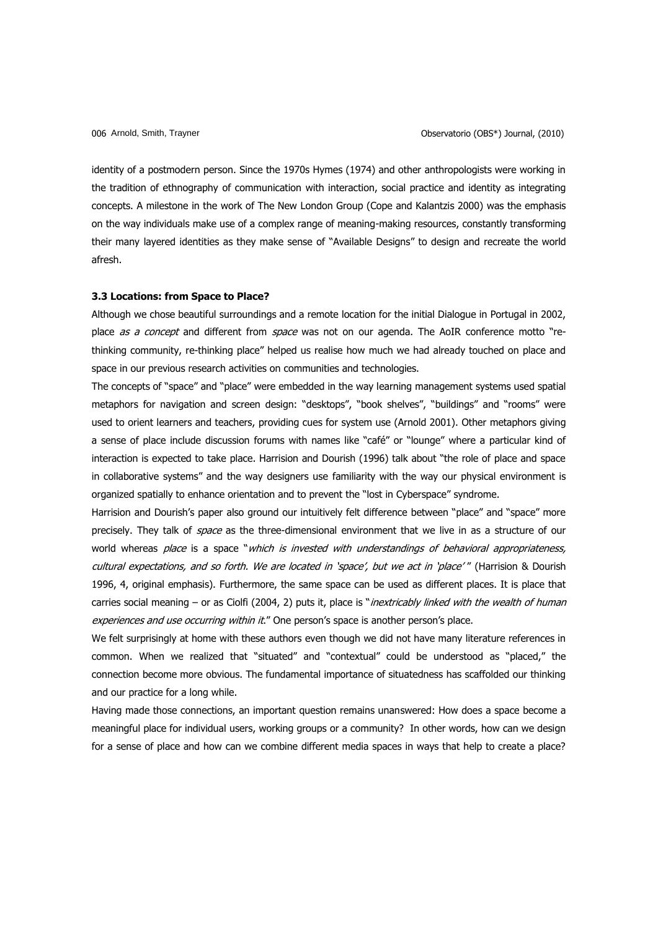identity of a postmodern person. Since the 1970s Hymes (1974) and other anthropologists were working in the tradition of ethnography of communication with interaction, social practice and identity as integrating concepts. A milestone in the work of The New London Group (Cope and Kalantzis 2000) was the emphasis on the way individuals make use of a complex range of meaning-making resources, constantly transforming their many layered identities as they make sense of "Available Designs" to design and recreate the world afresh.

#### **3.3 Locations: from Space to Place?**

Although we chose beautiful surroundings and a remote location for the initial Dialogue in Portugal in 2002, place as a concept and different from space was not on our agenda. The AoIR conference motto "rethinking community, re-thinking place" helped us realise how much we had already touched on place and space in our previous research activities on communities and technologies.

The concepts of "space" and "place" were embedded in the way learning management systems used spatial metaphors for navigation and screen design: "desktops", "book shelves", "buildings" and "rooms" were used to orient learners and teachers, providing cues for system use (Arnold 2001). Other metaphors giving a sense of place include discussion forums with names like "café" or "lounge" where a particular kind of interaction is expected to take place. Harrision and Dourish (1996) talk about "the role of place and space in collaborative systems" and the way designers use familiarity with the way our physical environment is organized spatially to enhance orientation and to prevent the "lost in Cyberspace" syndrome.

Harrision and Dourish's paper also ground our intuitively felt difference between "place" and "space" more precisely. They talk of *space* as the three-dimensional environment that we live in as a structure of our world whereas place is a space "which is invested with understandings of behavioral appropriateness, cultural expectations, and so forth. We are located in 'space', but we act in 'place'" (Harrision & Dourish 1996, 4, original emphasis). Furthermore, the same space can be used as different places. It is place that carries social meaning – or as Ciolfi (2004, 2) puts it, place is "inextricably linked with the wealth of human experiences and use occurring within it." One person's space is another person's place.

We felt surprisingly at home with these authors even though we did not have many literature references in common. When we realized that "situated" and "contextual" could be understood as "placed," the connection become more obvious. The fundamental importance of situatedness has scaffolded our thinking and our practice for a long while.

Having made those connections, an important question remains unanswered: How does a space become a meaningful place for individual users, working groups or a community? In other words, how can we design for a sense of place and how can we combine different media spaces in ways that help to create a place?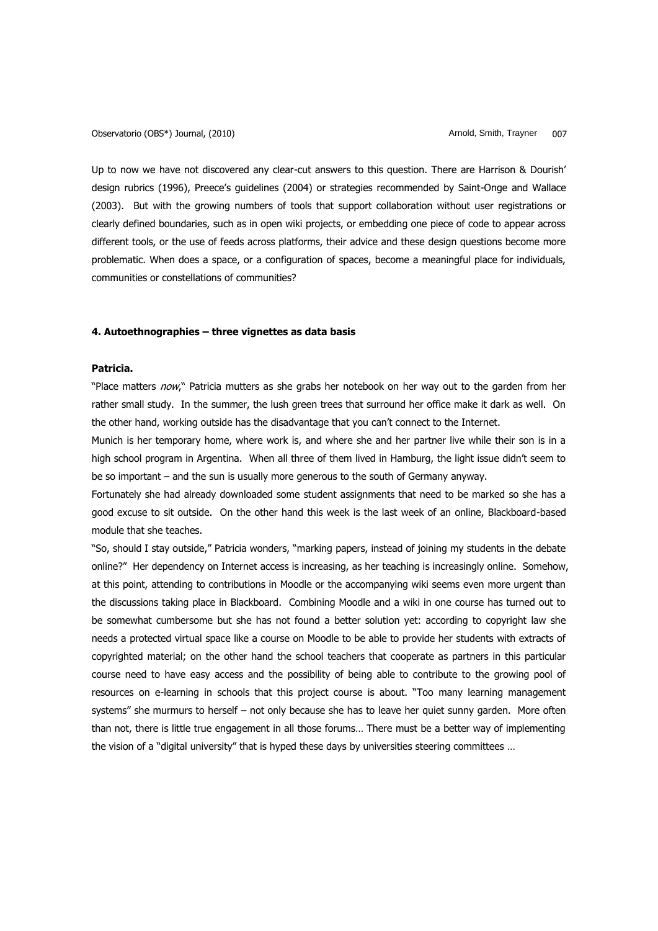Observatorio (OBS\*) Journal, (2010) and the controller controller controller controller controller controller controller controller controller controller controller controller controller controller controller controller co

Up to now we have not discovered any clear-cut answers to this question. There are Harrison & Dourish' design rubrics (1996), Preece's guidelines (2004) or strategies recommended by Saint-Onge and Wallace (2003). But with the growing numbers of tools that support collaboration without user registrations or clearly defined boundaries, such as in open wiki projects, or embedding one piece of code to appear across different tools, or the use of feeds across platforms, their advice and these design questions become more problematic. When does a space, or a configuration of spaces, become a meaningful place for individuals, communities or constellations of communities?

# **4. Autoethnographies – three vignettes as data basis**

# **Patricia.**

"Place matters now," Patricia mutters as she grabs her notebook on her way out to the garden from her rather small study. In the summer, the lush green trees that surround her office make it dark as well. On the other hand, working outside has the disadvantage that you can"t connect to the Internet.

Munich is her temporary home, where work is, and where she and her partner live while their son is in a high school program in Argentina. When all three of them lived in Hamburg, the light issue didn"t seem to be so important – and the sun is usually more generous to the south of Germany anyway.

Fortunately she had already downloaded some student assignments that need to be marked so she has a good excuse to sit outside. On the other hand this week is the last week of an online, Blackboard-based module that she teaches.

"So, should I stay outside," Patricia wonders, "marking papers, instead of joining my students in the debate online?" Her dependency on Internet access is increasing, as her teaching is increasingly online. Somehow, at this point, attending to contributions in Moodle or the accompanying wiki seems even more urgent than the discussions taking place in Blackboard. Combining Moodle and a wiki in one course has turned out to be somewhat cumbersome but she has not found a better solution yet: according to copyright law she needs a protected virtual space like a course on Moodle to be able to provide her students with extracts of copyrighted material; on the other hand the school teachers that cooperate as partners in this particular course need to have easy access and the possibility of being able to contribute to the growing pool of resources on e-learning in schools that this project course is about. "Too many learning management systems" she murmurs to herself – not only because she has to leave her quiet sunny garden. More often than not, there is little true engagement in all those forums… There must be a better way of implementing the vision of a "digital university" that is hyped these days by universities steering committees …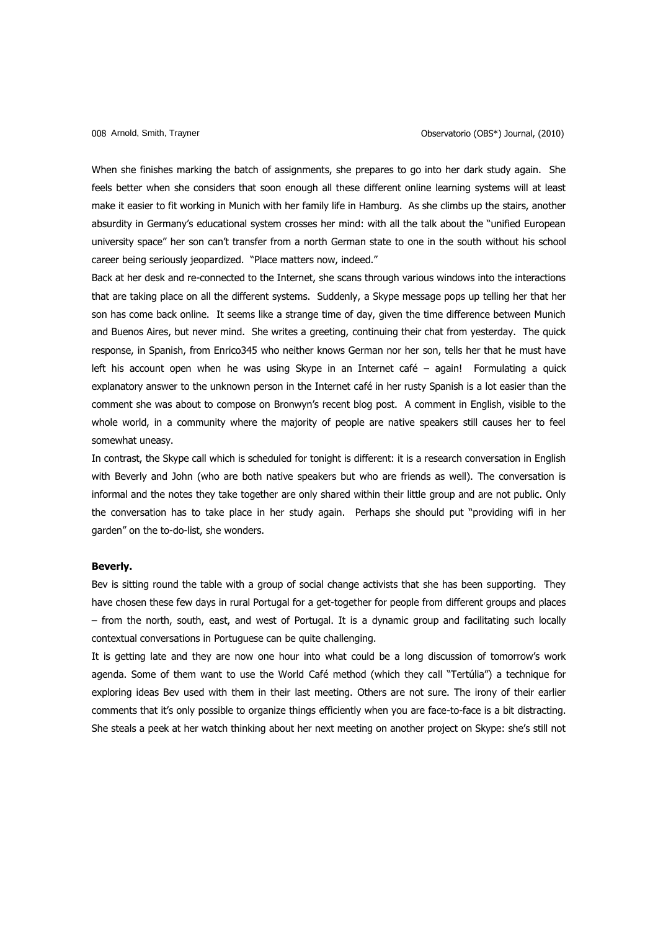When she finishes marking the batch of assignments, she prepares to go into her dark study again. She feels better when she considers that soon enough all these different online learning systems will at least make it easier to fit working in Munich with her family life in Hamburg. As she climbs up the stairs, another absurdity in Germany's educational system crosses her mind: with all the talk about the "unified European university space" her son can"t transfer from a north German state to one in the south without his school career being seriously jeopardized. "Place matters now, indeed."

Back at her desk and re-connected to the Internet, she scans through various windows into the interactions that are taking place on all the different systems. Suddenly, a Skype message pops up telling her that her son has come back online. It seems like a strange time of day, given the time difference between Munich and Buenos Aires, but never mind. She writes a greeting, continuing their chat from yesterday. The quick response, in Spanish, from Enrico345 who neither knows German nor her son, tells her that he must have left his account open when he was using Skype in an Internet café – again! Formulating a quick explanatory answer to the unknown person in the Internet café in her rusty Spanish is a lot easier than the comment she was about to compose on Bronwyn"s recent blog post. A comment in English, visible to the whole world, in a community where the majority of people are native speakers still causes her to feel somewhat uneasy.

In contrast, the Skype call which is scheduled for tonight is different: it is a research conversation in English with Beverly and John (who are both native speakers but who are friends as well). The conversation is informal and the notes they take together are only shared within their little group and are not public. Only the conversation has to take place in her study again. Perhaps she should put "providing wifi in her garden" on the to-do-list, she wonders.

#### **Beverly.**

Bev is sitting round the table with a group of social change activists that she has been supporting. They have chosen these few days in rural Portugal for a get-together for people from different groups and places – from the north, south, east, and west of Portugal. It is a dynamic group and facilitating such locally contextual conversations in Portuguese can be quite challenging.

It is getting late and they are now one hour into what could be a long discussion of tomorrow"s work agenda. Some of them want to use the World Café method (which they call "Tertúlia") a technique for exploring ideas Bev used with them in their last meeting. Others are not sure. The irony of their earlier comments that it's only possible to organize things efficiently when you are face-to-face is a bit distracting. She steals a peek at her watch thinking about her next meeting on another project on Skype: she"s still not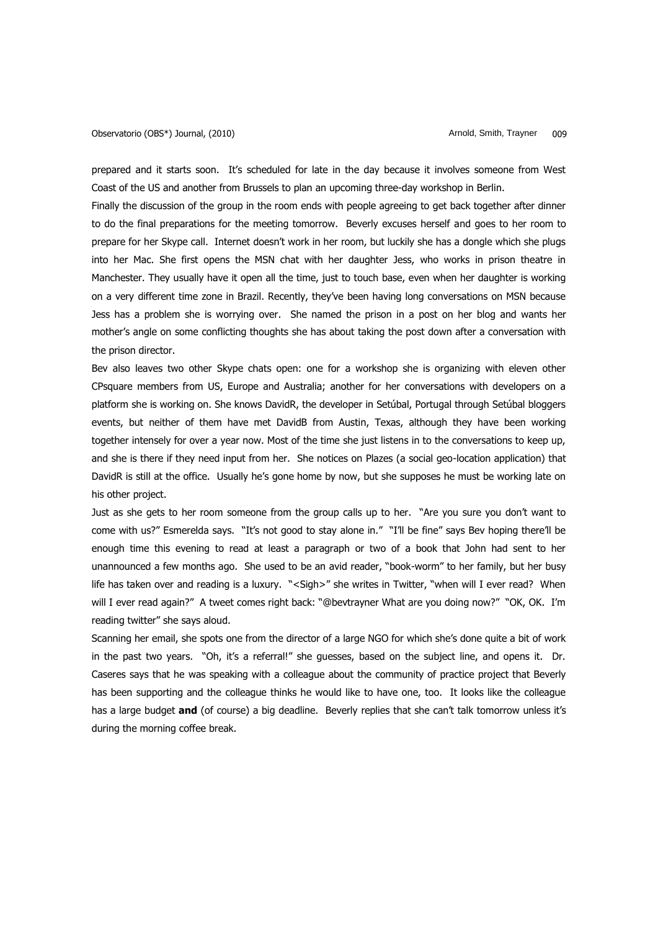prepared and it starts soon. It"s scheduled for late in the day because it involves someone from West Coast of the US and another from Brussels to plan an upcoming three-day workshop in Berlin.

Finally the discussion of the group in the room ends with people agreeing to get back together after dinner to do the final preparations for the meeting tomorrow. Beverly excuses herself and goes to her room to prepare for her Skype call. Internet doesn"t work in her room, but luckily she has a dongle which she plugs into her Mac. She first opens the MSN chat with her daughter Jess, who works in prison theatre in Manchester. They usually have it open all the time, just to touch base, even when her daughter is working on a very different time zone in Brazil. Recently, they"ve been having long conversations on MSN because Jess has a problem she is worrying over. She named the prison in a post on her blog and wants her mother"s angle on some conflicting thoughts she has about taking the post down after a conversation with the prison director.

Bev also leaves two other Skype chats open: one for a workshop she is organizing with eleven other CPsquare members from US, Europe and Australia; another for her conversations with developers on a platform she is working on. She knows DavidR, the developer in Setúbal, Portugal through Setúbal bloggers events, but neither of them have met DavidB from Austin, Texas, although they have been working together intensely for over a year now. Most of the time she just listens in to the conversations to keep up, and she is there if they need input from her. She notices on Plazes (a social geo-location application) that DavidR is still at the office. Usually he's gone home by now, but she supposes he must be working late on his other project.

Just as she gets to her room someone from the group calls up to her. "Are you sure you don"t want to come with us?" Esmerelda says. "It's not good to stay alone in." "I'll be fine" says Bev hoping there'll be enough time this evening to read at least a paragraph or two of a book that John had sent to her unannounced a few months ago. She used to be an avid reader, "book-worm" to her family, but her busy life has taken over and reading is a luxury. "<Sigh>" she writes in Twitter, "when will I ever read? When will I ever read again?" A tweet comes right back: "@bevtrayner What are you doing now?" "OK, OK. I"m reading twitter" she says aloud.

Scanning her email, she spots one from the director of a large NGO for which she"s done quite a bit of work in the past two years. "Oh, it's a referral!" she quesses, based on the subject line, and opens it. Dr. Caseres says that he was speaking with a colleague about the community of practice project that Beverly has been supporting and the colleague thinks he would like to have one, too. It looks like the colleague has a large budget **and** (of course) a big deadline. Beverly replies that she can't talk tomorrow unless it's during the morning coffee break.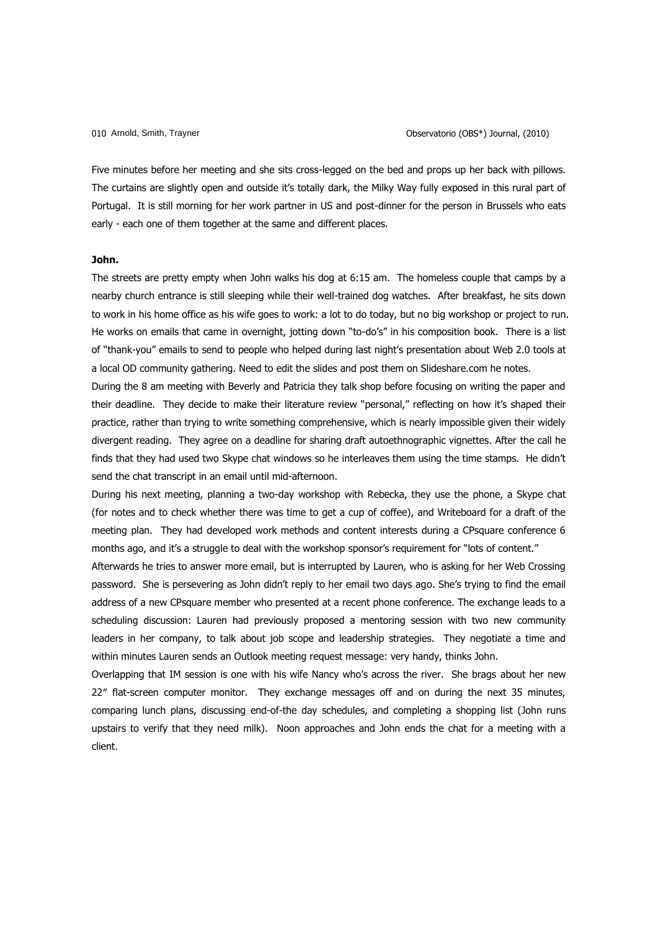Five minutes before her meeting and she sits cross-legged on the bed and props up her back with pillows. The curtains are slightly open and outside it's totally dark, the Milky Way fully exposed in this rural part of Portugal. It is still morning for her work partner in US and post-dinner for the person in Brussels who eats early - each one of them together at the same and different places.

## **John.**

The streets are pretty empty when John walks his dog at 6:15 am. The homeless couple that camps by a nearby church entrance is still sleeping while their well-trained dog watches. After breakfast, he sits down to work in his home office as his wife goes to work: a lot to do today, but no big workshop or project to run. He works on emails that came in overnight, jotting down "to-do's" in his composition book. There is a list of "thank-you" emails to send to people who helped during last night"s presentation about Web 2.0 tools at a local OD community gathering. Need to edit the slides and post them on Slideshare.com he notes.

During the 8 am meeting with Beverly and Patricia they talk shop before focusing on writing the paper and their deadline. They decide to make their literature review "personal," reflecting on how it's shaped their practice, rather than trying to write something comprehensive, which is nearly impossible given their widely divergent reading. They agree on a deadline for sharing draft autoethnographic vignettes. After the call he finds that they had used two Skype chat windows so he interleaves them using the time stamps. He didn"t send the chat transcript in an email until mid-afternoon.

During his next meeting, planning a two-day workshop with Rebecka, they use the phone, a Skype chat (for notes and to check whether there was time to get a cup of coffee), and Writeboard for a draft of the meeting plan. They had developed work methods and content interests during a CPsquare conference 6 months ago, and it's a struggle to deal with the workshop sponsor's requirement for "lots of content."

Afterwards he tries to answer more email, but is interrupted by Lauren, who is asking for her Web Crossing password. She is persevering as John didn"t reply to her email two days ago. She"s trying to find the email address of a new CPsquare member who presented at a recent phone conference. The exchange leads to a scheduling discussion: Lauren had previously proposed a mentoring session with two new community leaders in her company, to talk about job scope and leadership strategies. They negotiate a time and within minutes Lauren sends an Outlook meeting request message: very handy, thinks John.

Overlapping that IM session is one with his wife Nancy who"s across the river. She brags about her new 22″ flat-screen computer monitor. They exchange messages off and on during the next 35 minutes, comparing lunch plans, discussing end-of-the day schedules, and completing a shopping list (John runs upstairs to verify that they need milk). Noon approaches and John ends the chat for a meeting with a client.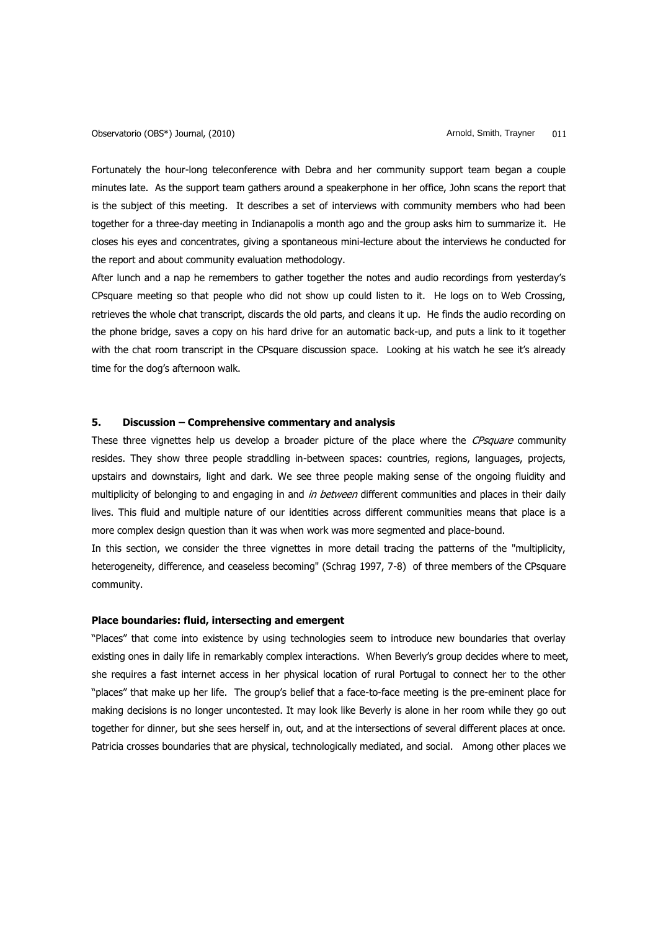Fortunately the hour-long teleconference with Debra and her community support team began a couple minutes late. As the support team gathers around a speakerphone in her office, John scans the report that is the subject of this meeting. It describes a set of interviews with community members who had been together for a three-day meeting in Indianapolis a month ago and the group asks him to summarize it. He closes his eyes and concentrates, giving a spontaneous mini-lecture about the interviews he conducted for the report and about community evaluation methodology.

After lunch and a nap he remembers to gather together the notes and audio recordings from yesterday"s CPsquare meeting so that people who did not show up could listen to it. He logs on to Web Crossing, retrieves the whole chat transcript, discards the old parts, and cleans it up. He finds the audio recording on the phone bridge, saves a copy on his hard drive for an automatic back-up, and puts a link to it together with the chat room transcript in the CPsquare discussion space. Looking at his watch he see it's already time for the dog's afternoon walk.

# **5. Discussion – Comprehensive commentary and analysis**

These three vignettes help us develop a broader picture of the place where the CPsquare community resides. They show three people straddling in-between spaces: countries, regions, languages, projects, upstairs and downstairs, light and dark. We see three people making sense of the ongoing fluidity and multiplicity of belonging to and engaging in and in between different communities and places in their daily lives. This fluid and multiple nature of our identities across different communities means that place is a more complex design question than it was when work was more segmented and place-bound.

In this section, we consider the three vignettes in more detail tracing the patterns of the "multiplicity, heterogeneity, difference, and ceaseless becoming" (Schrag 1997, 7-8) of three members of the CPsquare community.

### **Place boundaries: fluid, intersecting and emergent**

"Places" that come into existence by using technologies seem to introduce new boundaries that overlay existing ones in daily life in remarkably complex interactions. When Beverly's group decides where to meet, she requires a fast internet access in her physical location of rural Portugal to connect her to the other "places" that make up her life. The group"s belief that a face-to-face meeting is the pre-eminent place for making decisions is no longer uncontested. It may look like Beverly is alone in her room while they go out together for dinner, but she sees herself in, out, and at the intersections of several different places at once. Patricia crosses boundaries that are physical, technologically mediated, and social. Among other places we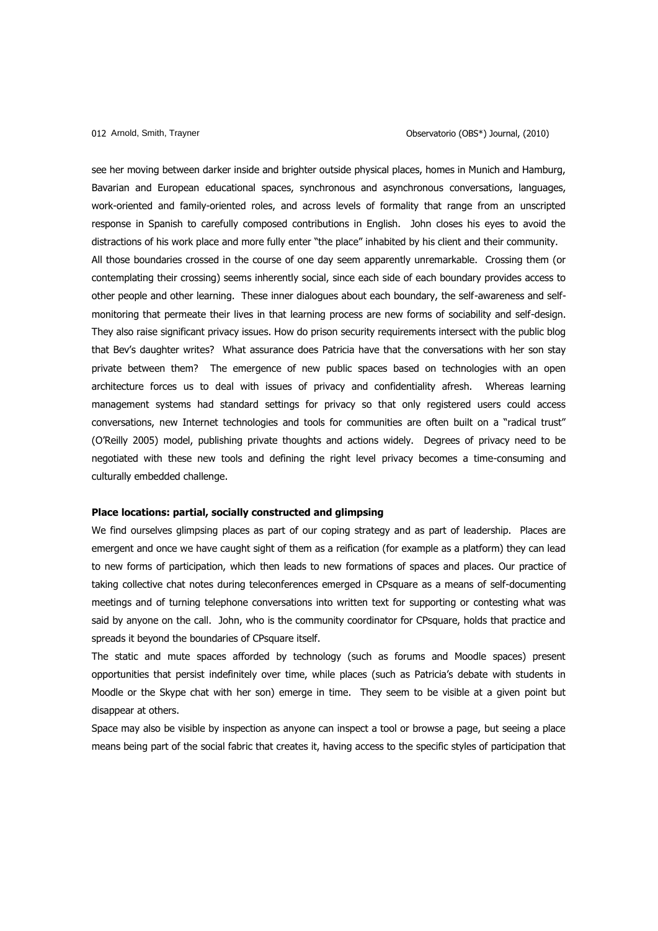see her moving between darker inside and brighter outside physical places, homes in Munich and Hamburg, Bavarian and European educational spaces, synchronous and asynchronous conversations, languages, work-oriented and family-oriented roles, and across levels of formality that range from an unscripted response in Spanish to carefully composed contributions in English. John closes his eyes to avoid the distractions of his work place and more fully enter "the place" inhabited by his client and their community. All those boundaries crossed in the course of one day seem apparently unremarkable. Crossing them (or contemplating their crossing) seems inherently social, since each side of each boundary provides access to other people and other learning. These inner dialogues about each boundary, the self-awareness and selfmonitoring that permeate their lives in that learning process are new forms of sociability and self-design. They also raise significant privacy issues. How do prison security requirements intersect with the public blog that Bev's daughter writes? What assurance does Patricia have that the conversations with her son stay private between them? The emergence of new public spaces based on technologies with an open architecture forces us to deal with issues of privacy and confidentiality afresh. Whereas learning management systems had standard settings for privacy so that only registered users could access conversations, new Internet technologies and tools for communities are often built on a "radical trust" (O"Reilly 2005) model, publishing private thoughts and actions widely. Degrees of privacy need to be negotiated with these new tools and defining the right level privacy becomes a time-consuming and culturally embedded challenge.

#### **Place locations: partial, socially constructed and glimpsing**

We find ourselves glimpsing places as part of our coping strategy and as part of leadership. Places are emergent and once we have caught sight of them as a reification (for example as a platform) they can lead to new forms of participation, which then leads to new formations of spaces and places. Our practice of taking collective chat notes during teleconferences emerged in CPsquare as a means of self-documenting meetings and of turning telephone conversations into written text for supporting or contesting what was said by anyone on the call. John, who is the community coordinator for CPsquare, holds that practice and spreads it beyond the boundaries of CPsquare itself.

The static and mute spaces afforded by technology (such as forums and Moodle spaces) present opportunities that persist indefinitely over time, while places (such as Patricia"s debate with students in Moodle or the Skype chat with her son) emerge in time. They seem to be visible at a given point but disappear at others.

Space may also be visible by inspection as anyone can inspect a tool or browse a page, but seeing a place means being part of the social fabric that creates it, having access to the specific styles of participation that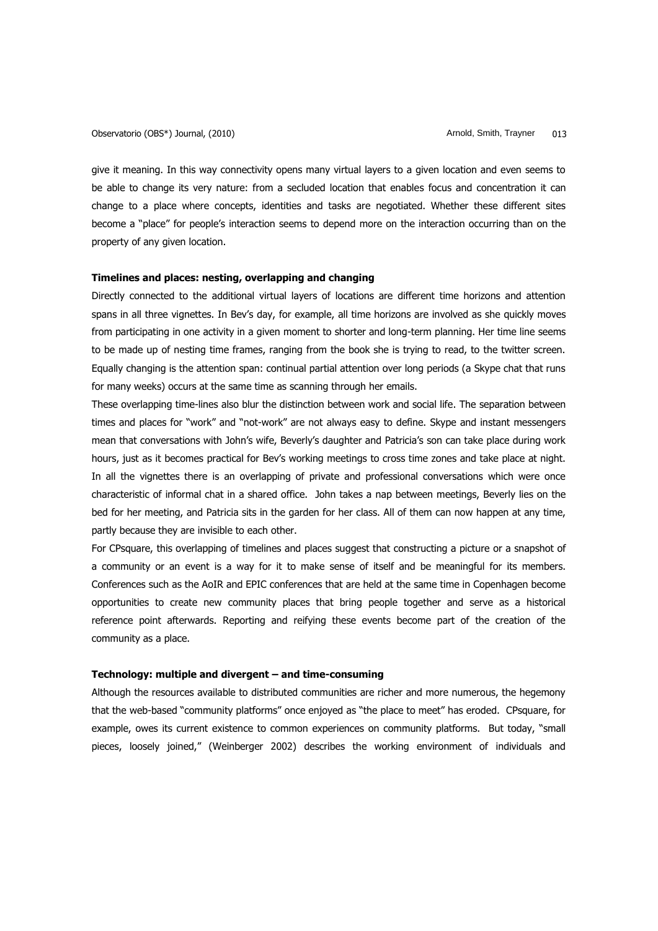Observatorio (OBS\*) Journal, (2010) Channel Arnold, Smith, Trayner and Arnold, Smith, Trayner 013

give it meaning. In this way connectivity opens many virtual layers to a given location and even seems to be able to change its very nature: from a secluded location that enables focus and concentration it can change to a place where concepts, identities and tasks are negotiated. Whether these different sites become a "place" for people"s interaction seems to depend more on the interaction occurring than on the property of any given location.

### **Timelines and places: nesting, overlapping and changing**

Directly connected to the additional virtual layers of locations are different time horizons and attention spans in all three vignettes. In Bev's day, for example, all time horizons are involved as she quickly moves from participating in one activity in a given moment to shorter and long-term planning. Her time line seems to be made up of nesting time frames, ranging from the book she is trying to read, to the twitter screen. Equally changing is the attention span: continual partial attention over long periods (a Skype chat that runs for many weeks) occurs at the same time as scanning through her emails.

These overlapping time-lines also blur the distinction between work and social life. The separation between times and places for "work" and "not-work" are not always easy to define. Skype and instant messengers mean that conversations with John's wife, Beverly's daughter and Patricia's son can take place during work hours, just as it becomes practical for Bev's working meetings to cross time zones and take place at night. In all the vignettes there is an overlapping of private and professional conversations which were once characteristic of informal chat in a shared office. John takes a nap between meetings, Beverly lies on the bed for her meeting, and Patricia sits in the garden for her class. All of them can now happen at any time, partly because they are invisible to each other.

For CPsquare, this overlapping of timelines and places suggest that constructing a picture or a snapshot of a community or an event is a way for it to make sense of itself and be meaningful for its members. Conferences such as the AoIR and EPIC conferences that are held at the same time in Copenhagen become opportunities to create new community places that bring people together and serve as a historical reference point afterwards. Reporting and reifying these events become part of the creation of the community as a place.

# **Technology: multiple and divergent – and time-consuming**

Although the resources available to distributed communities are richer and more numerous, the hegemony that the web-based "community platforms" once enjoyed as "the place to meet" has eroded. CPsquare, for example, owes its current existence to common experiences on community platforms. But today, "small pieces, loosely joined," (Weinberger 2002) describes the working environment of individuals and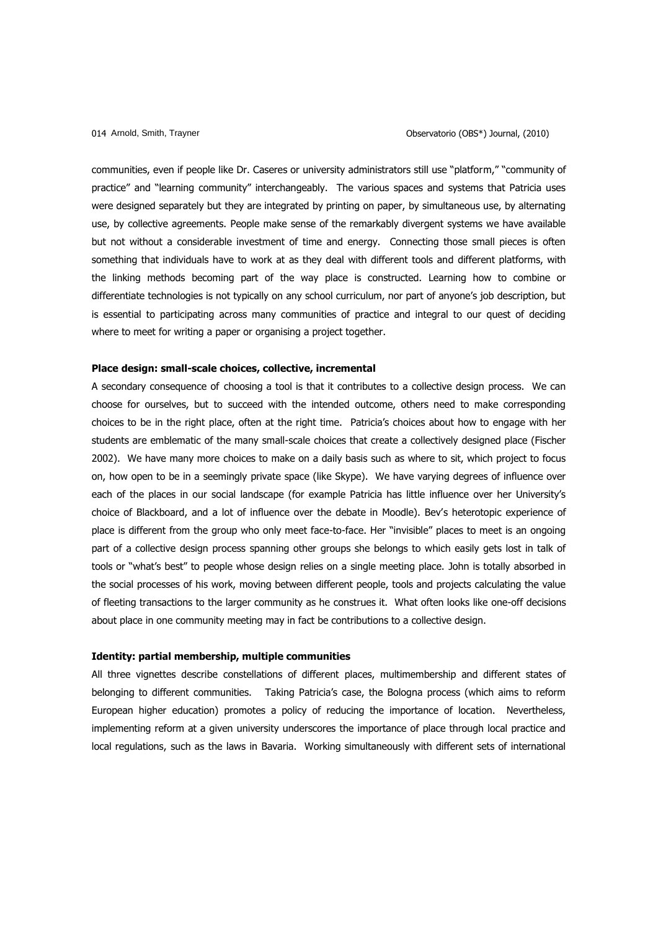communities, even if people like Dr. Caseres or university administrators still use "platform," "community of practice" and "learning community" interchangeably. The various spaces and systems that Patricia uses were designed separately but they are integrated by printing on paper, by simultaneous use, by alternating use, by collective agreements. People make sense of the remarkably divergent systems we have available but not without a considerable investment of time and energy. Connecting those small pieces is often something that individuals have to work at as they deal with different tools and different platforms, with the linking methods becoming part of the way place is constructed. Learning how to combine or differentiate technologies is not typically on any school curriculum, nor part of anyone's job description, but is essential to participating across many communities of practice and integral to our quest of deciding where to meet for writing a paper or organising a project together.

# **Place design: small-scale choices, collective, incremental**

A secondary consequence of choosing a tool is that it contributes to a collective design process. We can choose for ourselves, but to succeed with the intended outcome, others need to make corresponding choices to be in the right place, often at the right time. Patricia's choices about how to engage with her students are emblematic of the many small-scale choices that create a collectively designed place (Fischer 2002). We have many more choices to make on a daily basis such as where to sit, which project to focus on, how open to be in a seemingly private space (like Skype). We have varying degrees of influence over each of the places in our social landscape (for example Patricia has little influence over her University's choice of Blackboard, and a lot of influence over the debate in Moodle). Bev"s heterotopic experience of place is different from the group who only meet face-to-face. Her "invisible" places to meet is an ongoing part of a collective design process spanning other groups she belongs to which easily gets lost in talk of tools or "what"s best" to people whose design relies on a single meeting place. John is totally absorbed in the social processes of his work, moving between different people, tools and projects calculating the value of fleeting transactions to the larger community as he construes it. What often looks like one-off decisions about place in one community meeting may in fact be contributions to a collective design.

#### **Identity: partial membership, multiple communities**

All three vignettes describe constellations of different places, multimembership and different states of belonging to different communities. Taking Patricia's case, the Bologna process (which aims to reform European higher education) promotes a policy of reducing the importance of location. Nevertheless, implementing reform at a given university underscores the importance of place through local practice and local regulations, such as the laws in Bavaria. Working simultaneously with different sets of international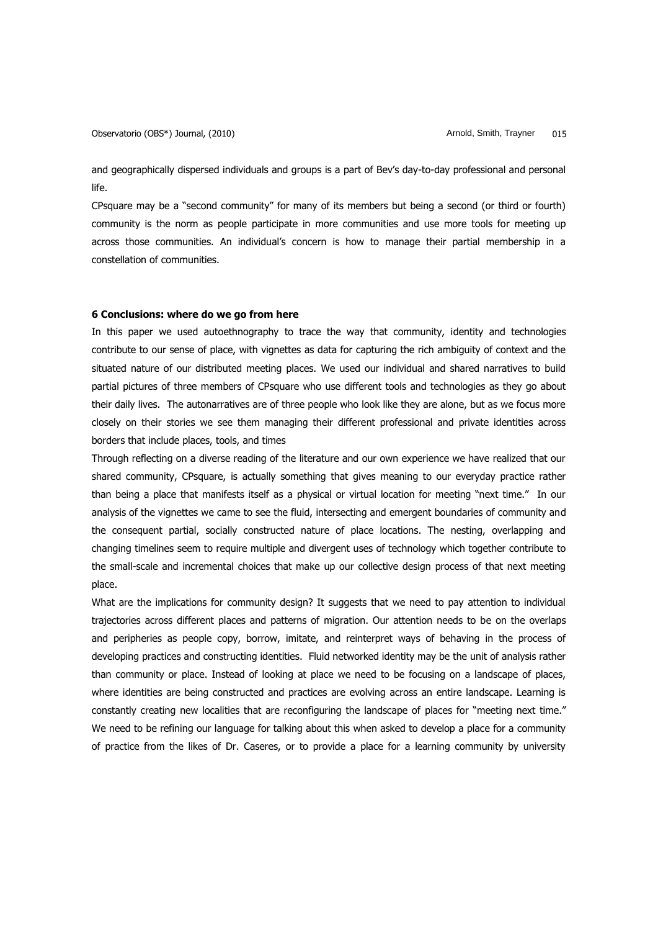Observatorio (OBS\*) Journal, (2010) Channel Arnold, Smith, Trayner and Smith, Trayner and Smith, Trayner and S

and geographically dispersed individuals and groups is a part of Bev"s day-to-day professional and personal life.

CPsquare may be a "second community" for many of its members but being a second (or third or fourth) community is the norm as people participate in more communities and use more tools for meeting up across those communities. An individual"s concern is how to manage their partial membership in a constellation of communities.

# **6 Conclusions: where do we go from here**

In this paper we used autoethnography to trace the way that community, identity and technologies contribute to our sense of place, with vignettes as data for capturing the rich ambiguity of context and the situated nature of our distributed meeting places. We used our individual and shared narratives to build partial pictures of three members of CPsquare who use different tools and technologies as they go about their daily lives. The autonarratives are of three people who look like they are alone, but as we focus more closely on their stories we see them managing their different professional and private identities across borders that include places, tools, and times

Through reflecting on a diverse reading of the literature and our own experience we have realized that our shared community, CPsquare, is actually something that gives meaning to our everyday practice rather than being a place that manifests itself as a physical or virtual location for meeting "next time." In our analysis of the vignettes we came to see the fluid, intersecting and emergent boundaries of community and the consequent partial, socially constructed nature of place locations. The nesting, overlapping and changing timelines seem to require multiple and divergent uses of technology which together contribute to the small-scale and incremental choices that make up our collective design process of that next meeting place.

What are the implications for community design? It suggests that we need to pay attention to individual trajectories across different places and patterns of migration. Our attention needs to be on the overlaps and peripheries as people copy, borrow, imitate, and reinterpret ways of behaving in the process of developing practices and constructing identities. Fluid networked identity may be the unit of analysis rather than community or place. Instead of looking at place we need to be focusing on a landscape of places, where identities are being constructed and practices are evolving across an entire landscape. Learning is constantly creating new localities that are reconfiguring the landscape of places for "meeting next time." We need to be refining our language for talking about this when asked to develop a place for a community of practice from the likes of Dr. Caseres, or to provide a place for a learning community by university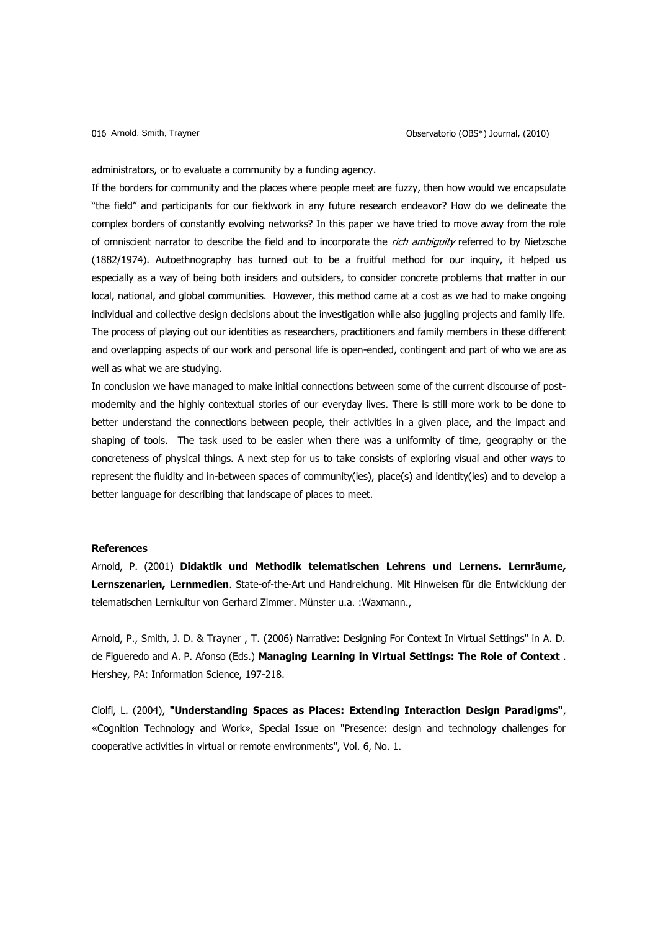administrators, or to evaluate a community by a funding agency.

If the borders for community and the places where people meet are fuzzy, then how would we encapsulate "the field" and participants for our fieldwork in any future research endeavor? How do we delineate the complex borders of constantly evolving networks? In this paper we have tried to move away from the role of omniscient narrator to describe the field and to incorporate the rich ambiguity referred to by Nietzsche (1882/1974). Autoethnography has turned out to be a fruitful method for our inquiry, it helped us especially as a way of being both insiders and outsiders, to consider concrete problems that matter in our local, national, and global communities. However, this method came at a cost as we had to make ongoing individual and collective design decisions about the investigation while also juggling projects and family life. The process of playing out our identities as researchers, practitioners and family members in these different and overlapping aspects of our work and personal life is open-ended, contingent and part of who we are as well as what we are studying.

In conclusion we have managed to make initial connections between some of the current discourse of postmodernity and the highly contextual stories of our everyday lives. There is still more work to be done to better understand the connections between people, their activities in a given place, and the impact and shaping of tools. The task used to be easier when there was a uniformity of time, geography or the concreteness of physical things. A next step for us to take consists of exploring visual and other ways to represent the fluidity and in-between spaces of community(ies), place(s) and identity(ies) and to develop a better language for describing that landscape of places to meet.

#### **References**

Arnold, P. (2001) **Didaktik und Methodik telematischen Lehrens und Lernens. Lernräume, Lernszenarien, Lernmedien**. State-of-the-Art und Handreichung. Mit Hinweisen für die Entwicklung der telematischen Lernkultur von Gerhard Zimmer. Münster u.a. :Waxmann.,

Arnold, P., Smith, J. D. & Trayner , T. (2006) Narrative: Designing For Context In Virtual Settings" in A. D. de Figueredo and A. P. Afonso (Eds.) **Managing Learning in Virtual Settings: The Role of Context** . Hershey, PA: Information Science, 197-218.

Ciolfi, L. (2004), **"Understanding Spaces as Places: Extending Interaction Design Paradigms"**, «Cognition Technology and Work», Special Issue on "Presence: design and technology challenges for cooperative activities in virtual or remote environments", Vol. 6, No. 1.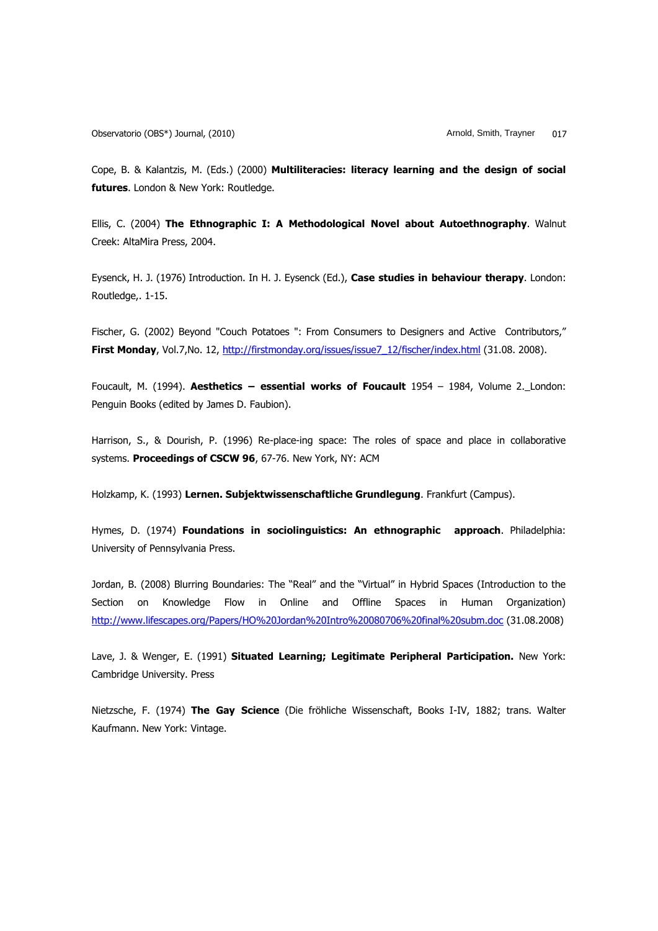Cope, B. & Kalantzis, M. (Eds.) (2000) **Multiliteracies: literacy learning and the design of social futures**. London & New York: Routledge.

Ellis, C. (2004) **The Ethnographic I: A Methodological Novel about Autoethnography**. Walnut Creek: AltaMira Press, 2004.

Eysenck, H. J. (1976) Introduction. In H. J. Eysenck (Ed.), **Case studies in behaviour therapy**. London: Routledge,. 1-15.

Fischer, G. (2002) Beyond "Couch Potatoes ": From Consumers to Designers and Active Contributors," First Monday, Vol.7, No. 12, [http://firstmonday.org/issues/issue7\\_12/fischer/index.html](http://firstmonday.org/issues/issue7_12/fischer/index.html) (31.08. 2008).

Foucault, M. (1994). **Aesthetics – essential works of Foucault** 1954 – 1984, Volume 2. London: Penguin Books (edited by James D. Faubion).

Harrison, S., & Dourish, P. (1996) Re-place-ing space: The roles of space and place in collaborative systems. **[Proceedings of CSCW 96](http://www.hcirn.com/res/event/cscw.php#1996)**, 67-76. New York, NY: [ACM](http://www.hcirn.com/res/org/acm.php)

Holzkamp, K. (1993) **Lernen. Subjektwissenschaftliche Grundlegung**. Frankfurt (Campus).

Hymes, D. (1974) **Foundations in sociolinguistics: An ethnographic approach**. Philadelphia: University of Pennsylvania Press.

Jordan, B. (2008) Blurring Boundaries: The "Real" and the "Virtual" in Hybrid Spaces (Introduction to the Section on Knowledge Flow in Online and Offline Spaces in Human Organization) <http://www.lifescapes.org/Papers/HO%20Jordan%20Intro%20080706%20final%20subm.doc> (31.08.2008)

Lave, J. & Wenger, E. (1991) **Situated Learning; Legitimate Peripheral Participation.** New York: Cambridge University. Press

Nietzsche, F. (1974) **The Gay Science** (Die fröhliche Wissenschaft, Books I-IV, 1882; trans. Walter Kaufmann. New York: Vintage.